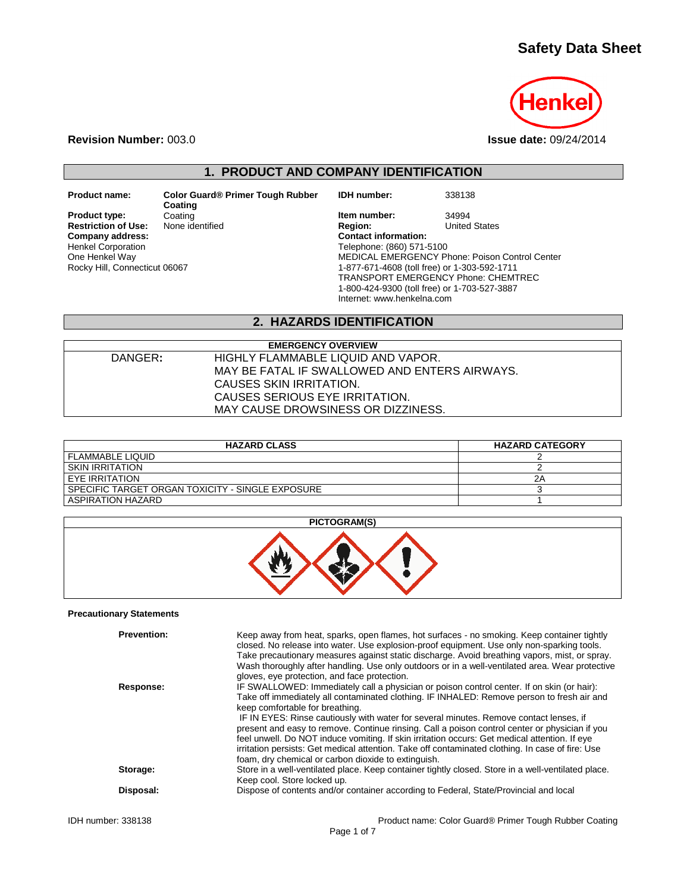# **Safety Data Sheet**



**Revision Number:** 003.0 **Issue date:** 09/24/2014

**1. PRODUCT AND COMPANY IDENTIFICATION**

**Coating Restriction of Use:**<br>Company address: Henkel Corporation One Henkel Way Rocky Hill, Connecticut 06067

**Product name: Color Guard® Primer Tough Rubber** 

**Product type:** Coating Coating **Item number:** 34994<br> **Restriction of Use:** None identified **Integral Communist Region:** United States  $Content information:$ Telephone: (860) 571-5100 MEDICAL EMERGENCY Phone: Poison Control Center 1-877-671-4608 (toll free) or 1-303-592-1711 TRANSPORT EMERGENCY Phone: CHEMTREC 1-800-424-9300 (toll free) or 1-703-527-3887 Internet: www.henkelna.com

**IDH number:** 338138

## **2. HAZARDS IDENTIFICATION**

| <b>EMERGENCY OVERVIEW</b>                     |  |  |
|-----------------------------------------------|--|--|
| HIGHLY FLAMMABLE LIQUID AND VAPOR.            |  |  |
| MAY BE FATAL IF SWALLOWED AND ENTERS AIRWAYS. |  |  |
| CAUSES SKIN IRRITATION.                       |  |  |
| CAUSES SERIOUS EYE IRRITATION.                |  |  |
| MAY CAUSE DROWSINESS OR DIZZINESS.            |  |  |
|                                               |  |  |

| <b>HAZARD CLASS</b>                              | <b>HAZARD CATEGORY</b> |
|--------------------------------------------------|------------------------|
| <b>FLAMMABLE LIQUID</b>                          |                        |
| <b>SKIN IRRITATION</b>                           |                        |
| EYE IRRITATION                                   | 2Α                     |
| SPECIFIC TARGET ORGAN TOXICITY - SINGLE EXPOSURE |                        |
| ASPIRATION HAZARD                                |                        |

| PICTOGRAM(S) |  |
|--------------|--|
|--------------|--|



### **Precautionary Statements**

| <b>Prevention:</b><br>Response: | Keep away from heat, sparks, open flames, hot surfaces - no smoking. Keep container tightly<br>closed. No release into water. Use explosion-proof equipment. Use only non-sparking tools.<br>Take precautionary measures against static discharge. Avoid breathing vapors, mist, or spray.<br>Wash thoroughly after handling. Use only outdoors or in a well-ventilated area. Wear protective<br>gloves, eye protection, and face protection.<br>IF SWALLOWED: Immediately call a physician or poison control center. If on skin (or hair):<br>Take off immediately all contaminated clothing. IF INHALED: Remove person to fresh air and<br>keep comfortable for breathing.<br>IF IN EYES: Rinse cautiously with water for several minutes. Remove contact lenses, if<br>present and easy to remove. Continue rinsing. Call a poison control center or physician if you<br>feel unwell. Do NOT induce vomiting. If skin irritation occurs: Get medical attention. If eye<br>irritation persists: Get medical attention. Take off contaminated clothing. In case of fire: Use |
|---------------------------------|-------------------------------------------------------------------------------------------------------------------------------------------------------------------------------------------------------------------------------------------------------------------------------------------------------------------------------------------------------------------------------------------------------------------------------------------------------------------------------------------------------------------------------------------------------------------------------------------------------------------------------------------------------------------------------------------------------------------------------------------------------------------------------------------------------------------------------------------------------------------------------------------------------------------------------------------------------------------------------------------------------------------------------------------------------------------------------|
| Storage:                        | foam, dry chemical or carbon dioxide to extinguish.<br>Store in a well-ventilated place. Keep container tightly closed. Store in a well-ventilated place.<br>Keep cool. Store locked up.                                                                                                                                                                                                                                                                                                                                                                                                                                                                                                                                                                                                                                                                                                                                                                                                                                                                                      |
| Disposal:                       | Dispose of contents and/or container according to Federal, State/Provincial and local                                                                                                                                                                                                                                                                                                                                                                                                                                                                                                                                                                                                                                                                                                                                                                                                                                                                                                                                                                                         |
| IDH number: 338138              | Product name: Color Guard® Primer Tough Rubber Coating                                                                                                                                                                                                                                                                                                                                                                                                                                                                                                                                                                                                                                                                                                                                                                                                                                                                                                                                                                                                                        |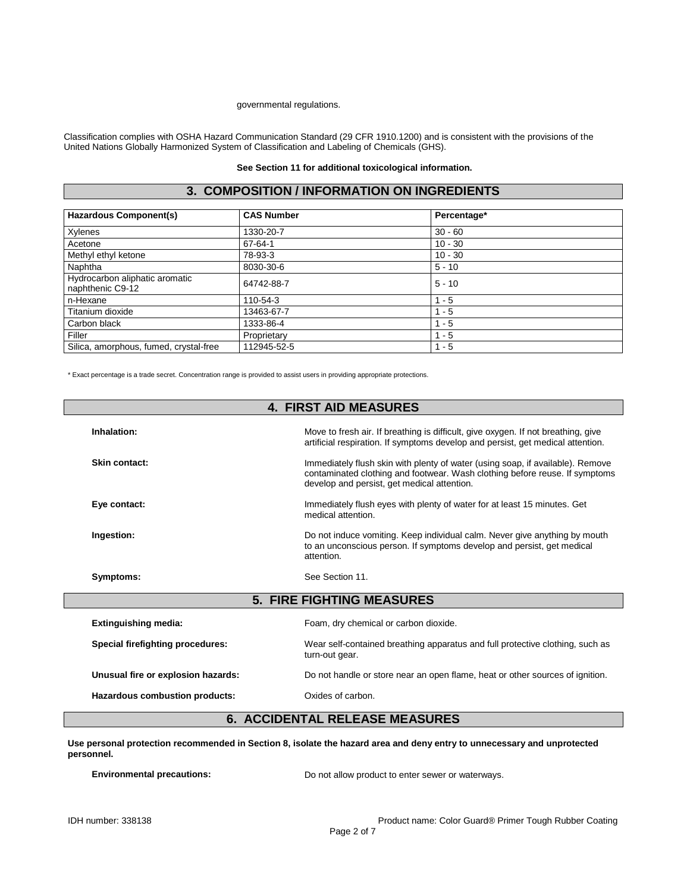#### governmental regulations.

Classification complies with OSHA Hazard Communication Standard (29 CFR 1910.1200) and is consistent with the provisions of the United Nations Globally Harmonized System of Classification and Labeling of Chemicals (GHS).

### **See Section 11 for additional toxicological information.**

## **3. COMPOSITION / INFORMATION ON INGREDIENTS**

| <b>Hazardous Component(s)</b>                      | <b>CAS Number</b> | Percentage* |  |
|----------------------------------------------------|-------------------|-------------|--|
| Xylenes                                            | 1330-20-7         | $30 - 60$   |  |
| Acetone                                            | 67-64-1           | $10 - 30$   |  |
| Methyl ethyl ketone                                | 78-93-3           | $10 - 30$   |  |
| Naphtha                                            | 8030-30-6         | $5 - 10$    |  |
| Hydrocarbon aliphatic aromatic<br>naphthenic C9-12 | 64742-88-7        | $5 - 10$    |  |
| n-Hexane                                           | 110-54-3          | $1 - 5$     |  |
| Titanium dioxide                                   | 13463-67-7        | $1 - 5$     |  |
| Carbon black                                       | 1333-86-4         | $1 - 5$     |  |
| Filler                                             | Proprietary       | $1 - 5$     |  |
| Silica, amorphous, fumed, crystal-free             | 112945-52-5       | $1 - 5$     |  |

\* Exact percentage is a trade secret. Concentration range is provided to assist users in providing appropriate protections.

| <b>4. FIRST AID MEASURES</b>       |                                                                                                                                                                                                              |  |
|------------------------------------|--------------------------------------------------------------------------------------------------------------------------------------------------------------------------------------------------------------|--|
| Inhalation:                        | Move to fresh air. If breathing is difficult, give oxygen. If not breathing, give<br>artificial respiration. If symptoms develop and persist, get medical attention.                                         |  |
| Skin contact:                      | Immediately flush skin with plenty of water (using soap, if available). Remove<br>contaminated clothing and footwear. Wash clothing before reuse. If symptoms<br>develop and persist, get medical attention. |  |
| Eye contact:                       | Immediately flush eyes with plenty of water for at least 15 minutes. Get<br>medical attention.                                                                                                               |  |
| Ingestion:                         | Do not induce vomiting. Keep individual calm. Never give anything by mouth<br>to an unconscious person. If symptoms develop and persist, get medical<br>attention.                                           |  |
| Symptoms:                          | See Section 11.                                                                                                                                                                                              |  |
|                                    | <b>5. FIRE FIGHTING MEASURES</b>                                                                                                                                                                             |  |
| <b>Extinguishing media:</b>        | Foam, dry chemical or carbon dioxide.                                                                                                                                                                        |  |
| Special firefighting procedures:   | Wear self-contained breathing apparatus and full protective clothing, such as<br>turn-out gear.                                                                                                              |  |
| Unusual fire or explosion hazards: | Do not handle or store near an open flame, heat or other sources of ignition.                                                                                                                                |  |
| Hazardous combustion products:     | Oxides of carbon.                                                                                                                                                                                            |  |

# **6. ACCIDENTAL RELEASE MEASURES**

**Use personal protection recommended in Section 8, isolate the hazard area and deny entry to unnecessary and unprotected personnel.**

**Environmental precautions:** Do not allow product to enter sewer or waterways.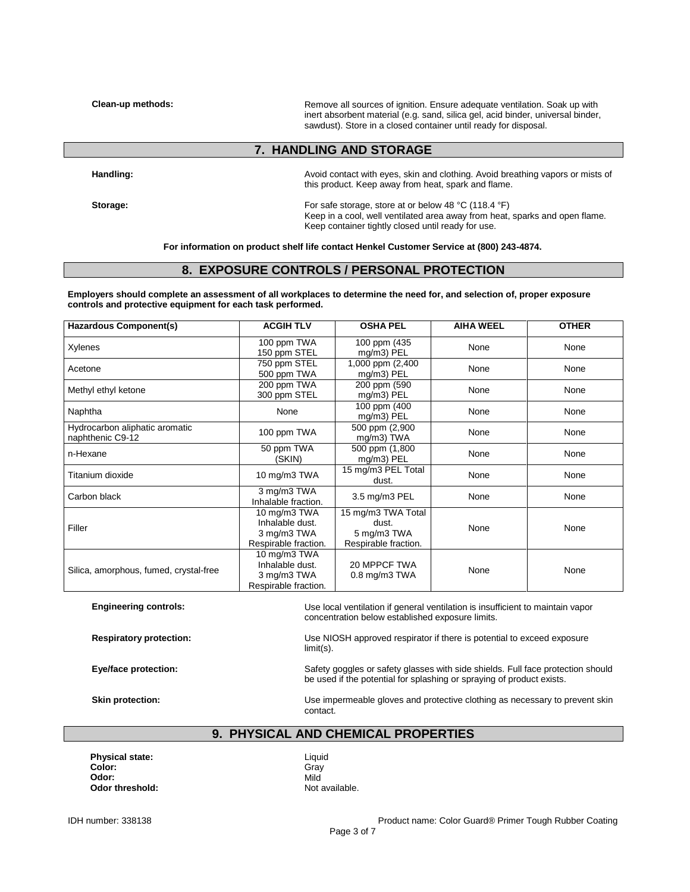**Clean-up methods:** Remove all sources of ignition. Ensure adequate ventilation. Soak up with inert absorbent material (e.g. sand, silica gel, acid binder, universal binder, sawdust). Store in a closed container until ready for disposal.

## **7. HANDLING AND STORAGE**

**Handling:** Avoid contact with eyes, skin and clothing. Avoid breathing vapors or mists of this product. Keep away from heat, spark and flame.

**Storage:** For safe storage, store at or below 48 °C (118.4 °F) Keep in a cool, well ventilated area away from heat, sparks and open flame. Keep container tightly closed until ready for use.

**For information on product shelf life contact Henkel Customer Service at (800) 243-4874.**

### **8. EXPOSURE CONTROLS / PERSONAL PROTECTION**

**Employers should complete an assessment of all workplaces to determine the need for, and selection of, proper exposure controls and protective equipment for each task performed.**

| <b>Hazardous Component(s)</b>                      | <b>ACGIH TLV</b>                                                       | <b>OSHA PEL</b>                                                    | <b>AIHA WEEL</b> | <b>OTHER</b> |
|----------------------------------------------------|------------------------------------------------------------------------|--------------------------------------------------------------------|------------------|--------------|
| Xylenes                                            | 100 ppm TWA<br>150 ppm STEL                                            | 100 ppm (435<br>mg/m3) PEL                                         | None             | None         |
| Acetone                                            | 750 ppm STEL<br>500 ppm TWA                                            | $1,000$ ppm $(2,400)$<br>mg/m3) PEL                                | None             | None         |
| Methyl ethyl ketone                                | 200 ppm TWA<br>300 ppm STEL                                            | 200 ppm (590<br>mg/m3) PEL                                         | None             | None         |
| Naphtha                                            | None                                                                   | 100 ppm (400<br>mg/m3) PEL                                         | None             | None         |
| Hydrocarbon aliphatic aromatic<br>naphthenic C9-12 | 100 ppm TWA                                                            | 500 ppm (2,900<br>mg/m3) TWA                                       | None             | None         |
| n-Hexane                                           | 50 ppm TWA<br>(SKIN)                                                   | 500 ppm (1,800<br>$mg/m3$ ) PEL                                    | None             | None         |
| Titanium dioxide                                   | 10 mg/m3 TWA                                                           | 15 mg/m3 PEL Total<br>dust.                                        | None             | None         |
| Carbon black                                       | 3 mg/m3 TWA<br>Inhalable fraction.                                     | 3.5 mg/m3 PEL                                                      | None             | None         |
| Filler                                             | 10 mg/m3 TWA<br>Inhalable dust.<br>3 mg/m3 TWA<br>Respirable fraction. | 15 mg/m3 TWA Total<br>dust.<br>5 mg/m3 TWA<br>Respirable fraction. | None             | None         |
| Silica, amorphous, fumed, crystal-free             | 10 mg/m3 TWA<br>Inhalable dust.<br>3 mg/m3 TWA<br>Respirable fraction. | 20 MPPCF TWA<br>$0.8$ mg/m $3$ TWA                                 | None             | None         |

**Engineering controls:** Use local ventilation if general ventilation is insufficient to maintain vapor concentration below established exposure limits. **Respiratory protection:** Use NIOSH approved respirator if there is potential to exceed exposure limit(s). Eye/face protection: Safety goggles or safety glasses with side shields. Full face protection should be used if the potential for splashing or spraying of product exists. **Skin protection:** Use impermeable gloves and protective clothing as necessary to prevent skin contact.

## **9. PHYSICAL AND CHEMICAL PROPERTIES**

**Physical state:** Liquid Color: Liquid Color: **Color:** Gray Gray<br>**Odor:** Gray Mild **Odor:** Mild **Odor threshold:** Not available.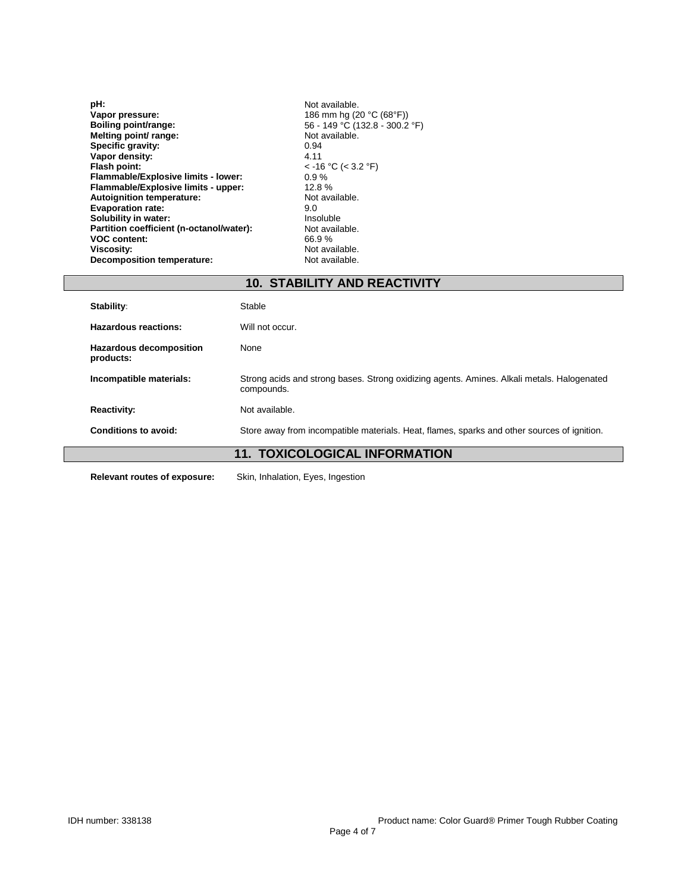**pH:**<br> **Vapor pressure:**<br> **Vapor pressure:**<br> **Vapor pressure:**<br> **Vapor pressure: Vapor pressure:** 186 mm hg (20 °C (68°F)) **Boiling point/range:** 56 - 149 °C (132.8 - 300.2 °F) **Melting point/range:**<br> **Melting point/ range:**<br> **Melting point/ range:**<br> **Specific gravity:**<br> **Specific gravity:**<br>  $0.94$ **Specific gravity:** 0.94 **Vapor density:** 4.11 **Flash point:**  $\le$  -16 °C (< 3.2 °F)<br> **Flammable/Explosive limits - lower:**  $\le$  0.9 % **Flammable/Explosive limits - lower:** 0.9 % **Flammable/Explosive limits - upper:** 12.8 %<br> **Autoignition temperature:** Not available. **Autoignition temperature:** Not **Evaporation rate:** 9.0 **Evaporation rate:** 9.0 **Solubility in water:** Insoluble **National Solubility in water:** Insoluble **Partition coefficient (n-octanol/water):** Not available. **Partition coefficient (n-octanol/water):** Not available VOC content: 66.9% **VOC content:**<br>Viscosity: **Decomposition temperature:** 

Not available.<br>Not available.

| <b>10. STABILITY AND REACTIVITY</b>         |                                                                                                          |  |
|---------------------------------------------|----------------------------------------------------------------------------------------------------------|--|
| Stability:                                  | Stable                                                                                                   |  |
| <b>Hazardous reactions:</b>                 | Will not occur.                                                                                          |  |
| <b>Hazardous decomposition</b><br>products: | None                                                                                                     |  |
| Incompatible materials:                     | Strong acids and strong bases. Strong oxidizing agents. Amines. Alkali metals. Halogenated<br>compounds. |  |
| <b>Reactivity:</b>                          | Not available.                                                                                           |  |
| Conditions to avoid:                        | Store away from incompatible materials. Heat, flames, sparks and other sources of ignition.              |  |
| <b>11. TOXICOLOGICAL INFORMATION</b>        |                                                                                                          |  |
|                                             |                                                                                                          |  |

**Relevant routes of exposure:** Skin, Inhalation, Eyes, Ingestion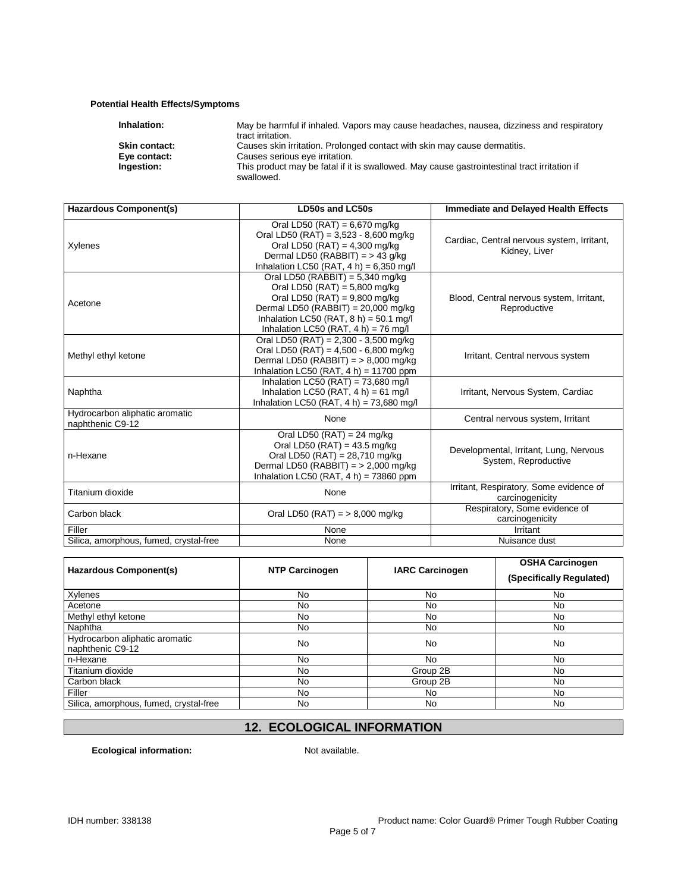### **Potential Health Effects/Symptoms**

| May be harmful if inhaled. Vapors may cause headaches, nausea, dizziness and respiratory<br>tract irritation. |
|---------------------------------------------------------------------------------------------------------------|
| Causes skin irritation. Prolonged contact with skin may cause dermatitis.                                     |
| Causes serious eye irritation.                                                                                |
| This product may be fatal if it is swallowed. May cause gastrointestinal tract irritation if<br>swallowed.    |
|                                                                                                               |

| Hazardous Component(s)                             | LD50s and LC50s                                                                                                                                                                                                                           | Immediate and Delayed Health Effects                           |
|----------------------------------------------------|-------------------------------------------------------------------------------------------------------------------------------------------------------------------------------------------------------------------------------------------|----------------------------------------------------------------|
| Xylenes                                            | Oral LD50 (RAT) = 6,670 mg/kg<br>Oral LD50 (RAT) = $3,523 - 8,600$ mg/kg<br>Oral LD50 (RAT) = $4,300$ mg/kg<br>Dermal LD50 (RABBIT) = > 43 g/kg<br>Inhalation LC50 (RAT, $4 h$ ) = 6,350 mg/l                                             | Cardiac, Central nervous system, Irritant,<br>Kidney, Liver    |
| Acetone                                            | Oral LD50 (RABBIT) = $5,340$ mg/kg<br>Oral LD50 (RAT) = $5,800$ mg/kg<br>Oral LD50 (RAT) = $9,800$ mg/kg<br>Dermal LD50 (RABBIT) = $20,000$ mg/kg<br>Inhalation LC50 (RAT, $8 h$ ) = 50.1 mg/l<br>Inhalation LC50 (RAT, $4 h$ ) = 76 mg/l | Blood, Central nervous system, Irritant,<br>Reproductive       |
| Methyl ethyl ketone                                | Oral LD50 (RAT) = 2,300 - 3,500 mg/kg<br>Oral LD50 (RAT) = $4,500 - 6,800$ mg/kg<br>Dermal LD50 (RABBIT) = $> 8,000$ mg/kg<br>Inhalation LC50 (RAT, 4 h) = 11700 ppm                                                                      | Irritant, Central nervous system                               |
| Naphtha                                            | Inhalation LC50 (RAT) = $73,680$ mg/l<br>Inhalation LC50 (RAT, $4 h$ ) = 61 mg/l<br>Inhalation LC50 (RAT, $4 h$ ) = 73,680 mg/l                                                                                                           | Irritant, Nervous System, Cardiac                              |
| Hydrocarbon aliphatic aromatic<br>naphthenic C9-12 | None                                                                                                                                                                                                                                      | Central nervous system, Irritant                               |
| n-Hexane                                           | Oral LD50 (RAT) = 24 mg/kg<br>Oral LD50 (RAT) = $43.5$ mg/kg<br>Oral LD50 (RAT) = 28,710 mg/kg<br>Dermal LD50 (RABBIT) = $>$ 2,000 mg/kg<br>Inhalation LC50 (RAT, $4 h$ ) = 73860 ppm                                                     | Developmental, Irritant, Lung, Nervous<br>System, Reproductive |
| Titanium dioxide                                   | None                                                                                                                                                                                                                                      | Irritant, Respiratory, Some evidence of<br>carcinogenicity     |
| Carbon black                                       | Oral LD50 (RAT) = $> 8,000$ mg/kg                                                                                                                                                                                                         | Respiratory, Some evidence of<br>carcinogenicity               |
| Filler<br>Silica, amorphous, fumed, crystal-free   | None<br>None                                                                                                                                                                                                                              | Irritant<br>Nuisance dust                                      |
|                                                    |                                                                                                                                                                                                                                           |                                                                |

| <b>Hazardous Component(s)</b>                      | <b>NTP Carcinogen</b> | <b>IARC Carcinogen</b> | <b>OSHA Carcinogen</b><br>(Specifically Regulated) |
|----------------------------------------------------|-----------------------|------------------------|----------------------------------------------------|
| Xylenes                                            | No                    | No                     | No.                                                |
| Acetone                                            | No.                   | No                     | No                                                 |
| Methyl ethyl ketone                                | No.                   | No                     | No                                                 |
| Naphtha                                            | No                    | No                     | No                                                 |
| Hydrocarbon aliphatic aromatic<br>naphthenic C9-12 | No                    | No                     | No                                                 |
| n-Hexane                                           | No.                   | No                     | No                                                 |
| Titanium dioxide                                   | No                    | Group 2B               | No                                                 |
| Carbon black                                       | No                    | Group 2B               | No                                                 |
| Filler                                             | No.                   | No                     | No                                                 |
| Silica, amorphous, fumed, crystal-free             | No                    | No                     | No                                                 |

# **12. ECOLOGICAL INFORMATION**

**Ecological information:** Not available.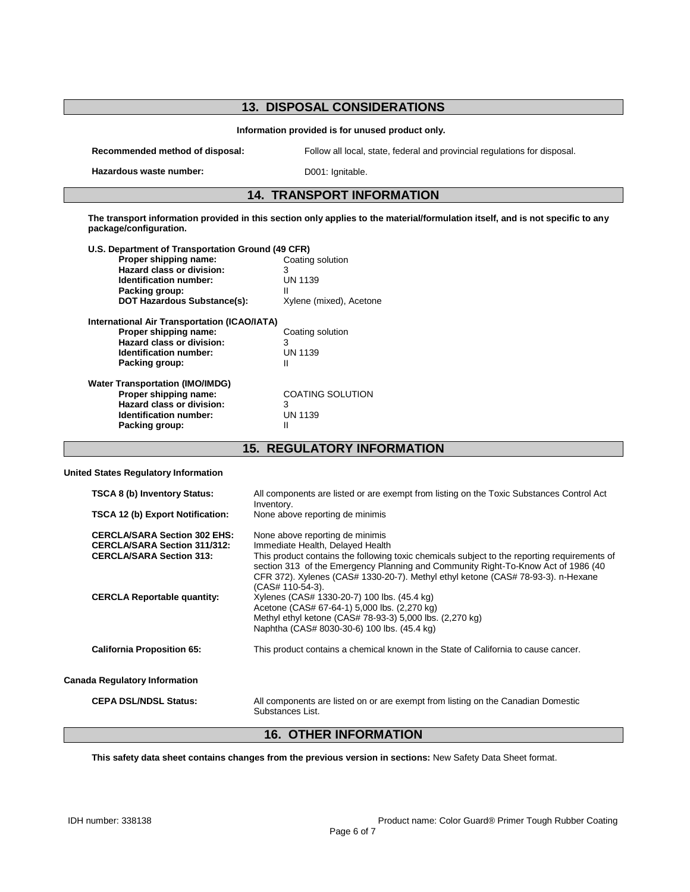## **13. DISPOSAL CONSIDERATIONS Information provided is for unused product only. Recommended method of disposal:** Follow all local, state, federal and provincial regulations for disposal. Hazardous waste number: D001: Ignitable. **14. TRANSPORT INFORMATION The transport information provided in this section only applies to the material/formulation itself, and is not specific to any package/configuration. U.S. Department of Transportation Ground (49 CFR)** Proper shipping name: **Hazard class or division:** 3<br> **Identification number:** UN 1139 **Identification number: Packing group:** II I<br> **DOT Hazardous Substance(s):** Xylene (mixed), Acetone **DOT Hazardous Substance(s): International Air Transportation (ICAO/IATA) Proper shipping name:** Coating solution **Hazard class or division:** 3<br> **Identification number:** UN 1139 **Identification number:** UN 1299<br>Packing group: 11399 **Packing group: Water Transportation (IMO/IMDG) Proper shipping name:** COATING SOLUTION<br> **Hazard class or division:** 3 **Hazard class or division:** 3 **Identification number:** UN 1139<br>Packing group: II **Packing group:**

## **15. REGULATORY INFORMATION**

### **United States Regulatory Information**

| <b>TSCA 8 (b) Inventory Status:</b><br>TSCA 12 (b) Export Notification:                                       | All components are listed or are exempt from listing on the Toxic Substances Control Act<br>Inventory.<br>None above reporting de minimis                                                                                                                                                                                                                                                           |
|---------------------------------------------------------------------------------------------------------------|-----------------------------------------------------------------------------------------------------------------------------------------------------------------------------------------------------------------------------------------------------------------------------------------------------------------------------------------------------------------------------------------------------|
| <b>CERCLA/SARA Section 302 EHS:</b><br><b>CERCLA/SARA Section 311/312:</b><br><b>CERCLA/SARA Section 313:</b> | None above reporting de minimis<br>Immediate Health, Delayed Health<br>This product contains the following toxic chemicals subject to the reporting requirements of                                                                                                                                                                                                                                 |
| <b>CERCLA Reportable quantity:</b>                                                                            | section 313 of the Emergency Planning and Community Right-To-Know Act of 1986 (40<br>CFR 372). Xylenes (CAS# 1330-20-7). Methyl ethyl ketone (CAS# 78-93-3). n-Hexane<br>(CAS# 110-54-3).<br>Xylenes (CAS# 1330-20-7) 100 lbs. (45.4 kg)<br>Acetone (CAS# 67-64-1) 5,000 lbs. (2,270 kg)<br>Methyl ethyl ketone (CAS# 78-93-3) 5,000 lbs. (2,270 kg)<br>Naphtha (CAS# 8030-30-6) 100 lbs. (45.4 kg) |
| <b>California Proposition 65:</b>                                                                             | This product contains a chemical known in the State of California to cause cancer.                                                                                                                                                                                                                                                                                                                  |
| <b>Canada Regulatory Information</b>                                                                          |                                                                                                                                                                                                                                                                                                                                                                                                     |
| <b>CEPA DSL/NDSL Status:</b>                                                                                  | All components are listed on or are exempt from listing on the Canadian Domestic<br>Substances List.                                                                                                                                                                                                                                                                                                |

## **16. OTHER INFORMATION**

**This safety data sheet contains changes from the previous version in sections:** New Safety Data Sheet format.